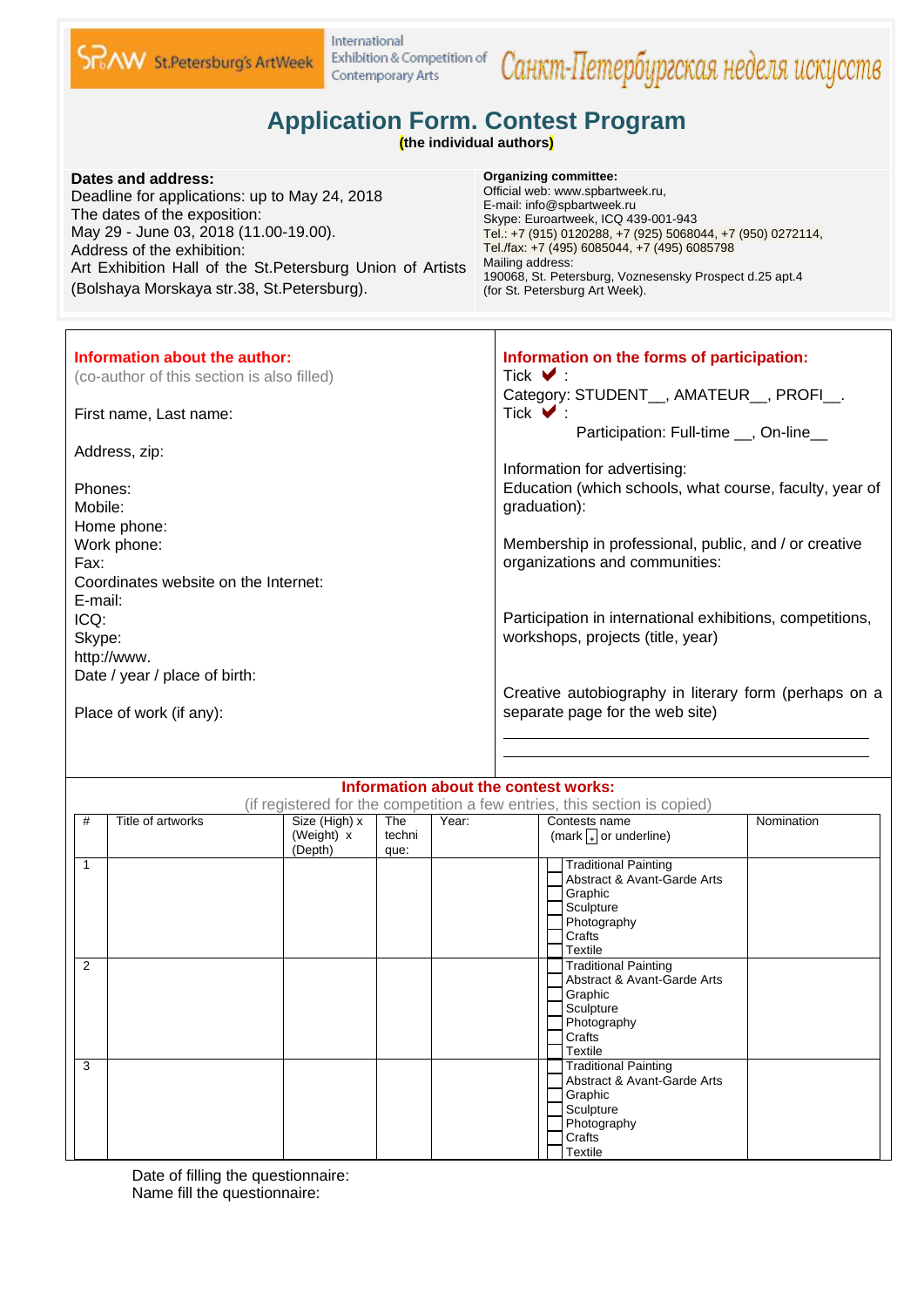

## International Exhibition & Competition of Contemporary Arts

## Санкт-Петербургская неделя искусств

## **Application Form. Contest Program**

**(the individual authors)**

| Dates and address:<br>Deadline for applications: up to May 24, 2018<br>The dates of the exposition:<br>May 29 - June 03, 2018 (11.00-19.00).<br>Address of the exhibition:<br>Art Exhibition Hall of the St. Petersburg Union of Artists<br>(Bolshaya Morskaya str.38, St.Petersburg). | <b>Organizing committee:</b><br>Official web: www.spbartweek.ru,<br>E-mail: info@spbartweek.ru<br>Skype: Euroartweek, ICQ 439-001-943<br>Tel.: +7 (915) 0120288, +7 (925) 5068044, +7 (950) 0272114,<br>Tel./fax: +7 (495) 6085044, +7 (495) 6085798<br>Mailing address:<br>190068, St. Petersburg, Voznesensky Prospect d.25 apt.4<br>(for St. Petersburg Art Week). |
|----------------------------------------------------------------------------------------------------------------------------------------------------------------------------------------------------------------------------------------------------------------------------------------|-----------------------------------------------------------------------------------------------------------------------------------------------------------------------------------------------------------------------------------------------------------------------------------------------------------------------------------------------------------------------|
| Information about the author:                                                                                                                                                                                                                                                          | Information on the forms of participation:                                                                                                                                                                                                                                                                                                                            |
| (co-author of this section is also filled)                                                                                                                                                                                                                                             | Tick $\vee$                                                                                                                                                                                                                                                                                                                                                           |
|                                                                                                                                                                                                                                                                                        | Category: STUDENT <sub>, AMATEUR<sub>,</sub> PROFI<sub>,</sub></sub>                                                                                                                                                                                                                                                                                                  |
| First name, Last name:                                                                                                                                                                                                                                                                 | Tick $\blacktriangledown$ :                                                                                                                                                                                                                                                                                                                                           |
| Address, zip:                                                                                                                                                                                                                                                                          | Participation: Full-time __, On-line__                                                                                                                                                                                                                                                                                                                                |
|                                                                                                                                                                                                                                                                                        | Information for advertising:                                                                                                                                                                                                                                                                                                                                          |
| Phones:                                                                                                                                                                                                                                                                                | Education (which schools, what course, faculty, year of                                                                                                                                                                                                                                                                                                               |
| Mobile:                                                                                                                                                                                                                                                                                | graduation):                                                                                                                                                                                                                                                                                                                                                          |
| Home phone:                                                                                                                                                                                                                                                                            |                                                                                                                                                                                                                                                                                                                                                                       |
| Work phone:                                                                                                                                                                                                                                                                            | Membership in professional, public, and / or creative                                                                                                                                                                                                                                                                                                                 |
| Fax:<br>Coordinates website on the Internet:                                                                                                                                                                                                                                           | organizations and communities:                                                                                                                                                                                                                                                                                                                                        |
| E-mail:                                                                                                                                                                                                                                                                                |                                                                                                                                                                                                                                                                                                                                                                       |
| ICQ:                                                                                                                                                                                                                                                                                   | Participation in international exhibitions, competitions,                                                                                                                                                                                                                                                                                                             |
| Skype:                                                                                                                                                                                                                                                                                 | workshops, projects (title, year)                                                                                                                                                                                                                                                                                                                                     |
| http://www.                                                                                                                                                                                                                                                                            |                                                                                                                                                                                                                                                                                                                                                                       |
| Date / year / place of birth:                                                                                                                                                                                                                                                          |                                                                                                                                                                                                                                                                                                                                                                       |
| Place of work (if any):                                                                                                                                                                                                                                                                | Creative autobiography in literary form (perhaps on a<br>separate page for the web site)                                                                                                                                                                                                                                                                              |
|                                                                                                                                                                                                                                                                                        |                                                                                                                                                                                                                                                                                                                                                                       |

|        | Information about the contest works:                                      |                                        |                       |       |                                                                                                                               |            |
|--------|---------------------------------------------------------------------------|----------------------------------------|-----------------------|-------|-------------------------------------------------------------------------------------------------------------------------------|------------|
|        | (if registered for the competition a few entries, this section is copied) |                                        |                       |       |                                                                                                                               |            |
| #      | Title of artworks                                                         | Size (High) x<br>(Weight) x<br>(Depth) | The<br>techni<br>que: | Year: | Contests name<br>(mark $\sqrt{4}$ or underline)                                                                               | Nomination |
| 1<br>2 |                                                                           |                                        |                       |       | <b>Traditional Painting</b><br>Abstract & Avant-Garde Arts<br>Graphic<br>Sculpture<br>Photography<br>Crafts<br><b>Textile</b> |            |
|        |                                                                           |                                        |                       |       | <b>Traditional Painting</b><br>Abstract & Avant-Garde Arts<br>Graphic<br>Sculpture<br>Photography<br>Crafts<br><b>Textile</b> |            |
| 3      |                                                                           |                                        |                       |       | <b>Traditional Painting</b><br>Abstract & Avant-Garde Arts<br>Graphic<br>Sculpture<br>Photography<br>Crafts<br>Textile        |            |

Date of filling the questionnaire: Name fill the questionnaire: